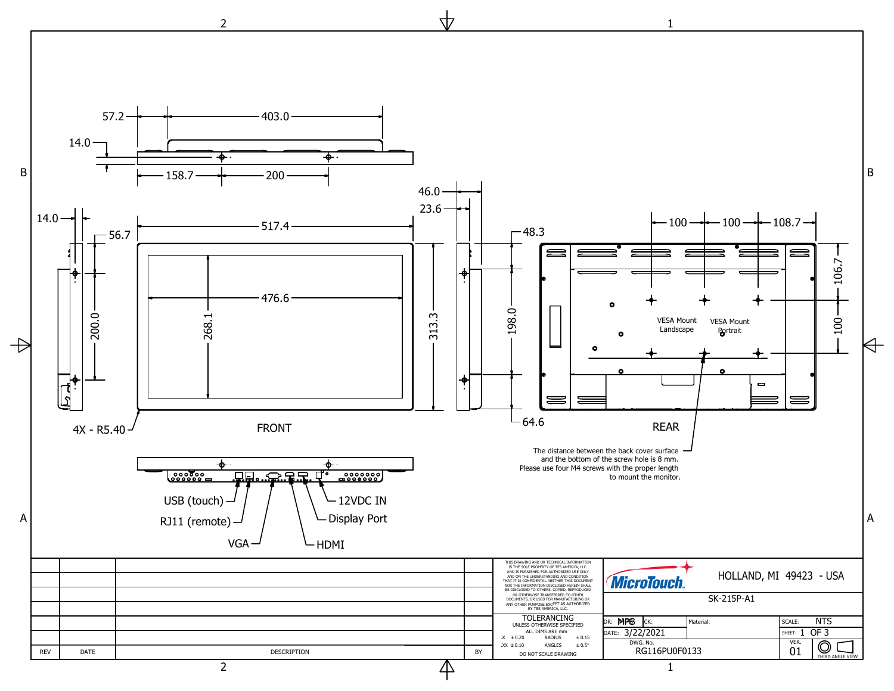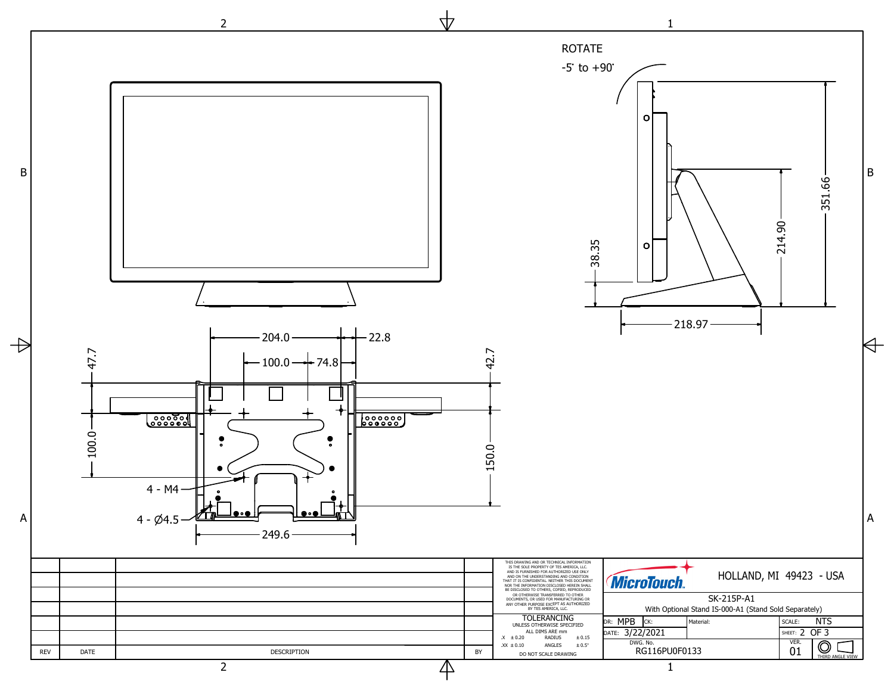